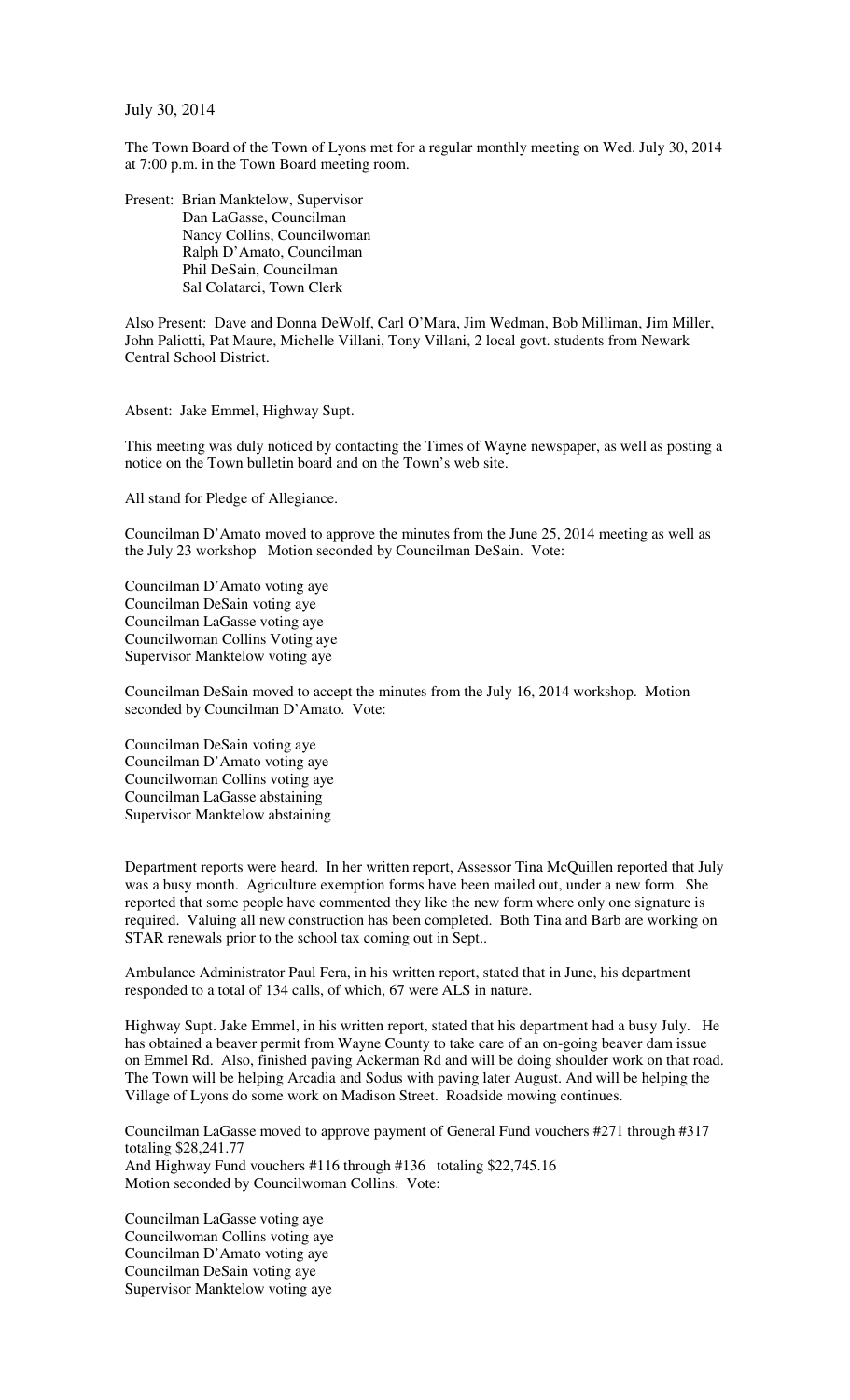July 30, 2014

The Town Board of the Town of Lyons met for a regular monthly meeting on Wed. July 30, 2014 at 7:00 p.m. in the Town Board meeting room.

Present: Brian Manktelow, Supervisor Dan LaGasse, Councilman Nancy Collins, Councilwoman Ralph D'Amato, Councilman Phil DeSain, Councilman Sal Colatarci, Town Clerk

Also Present: Dave and Donna DeWolf, Carl O'Mara, Jim Wedman, Bob Milliman, Jim Miller, John Paliotti, Pat Maure, Michelle Villani, Tony Villani, 2 local govt. students from Newark Central School District.

Absent: Jake Emmel, Highway Supt.

This meeting was duly noticed by contacting the Times of Wayne newspaper, as well as posting a notice on the Town bulletin board and on the Town's web site.

All stand for Pledge of Allegiance.

Councilman D'Amato moved to approve the minutes from the June 25, 2014 meeting as well as the July 23 workshop Motion seconded by Councilman DeSain. Vote:

Councilman D'Amato voting aye Councilman DeSain voting aye Councilman LaGasse voting aye Councilwoman Collins Voting aye Supervisor Manktelow voting aye

Councilman DeSain moved to accept the minutes from the July 16, 2014 workshop. Motion seconded by Councilman D'Amato. Vote:

Councilman DeSain voting aye Councilman D'Amato voting aye Councilwoman Collins voting aye Councilman LaGasse abstaining Supervisor Manktelow abstaining

Department reports were heard. In her written report, Assessor Tina McQuillen reported that July was a busy month. Agriculture exemption forms have been mailed out, under a new form. She reported that some people have commented they like the new form where only one signature is required. Valuing all new construction has been completed. Both Tina and Barb are working on STAR renewals prior to the school tax coming out in Sept..

Ambulance Administrator Paul Fera, in his written report, stated that in June, his department responded to a total of 134 calls, of which, 67 were ALS in nature.

Highway Supt. Jake Emmel, in his written report, stated that his department had a busy July. He has obtained a beaver permit from Wayne County to take care of an on-going beaver dam issue on Emmel Rd. Also, finished paving Ackerman Rd and will be doing shoulder work on that road. The Town will be helping Arcadia and Sodus with paving later August. And will be helping the Village of Lyons do some work on Madison Street. Roadside mowing continues.

Councilman LaGasse moved to approve payment of General Fund vouchers #271 through #317 totaling \$28,241.77 And Highway Fund vouchers #116 through #136 totaling \$22,745.16 Motion seconded by Councilwoman Collins. Vote:

Councilman LaGasse voting aye Councilwoman Collins voting aye Councilman D'Amato voting aye Councilman DeSain voting aye Supervisor Manktelow voting aye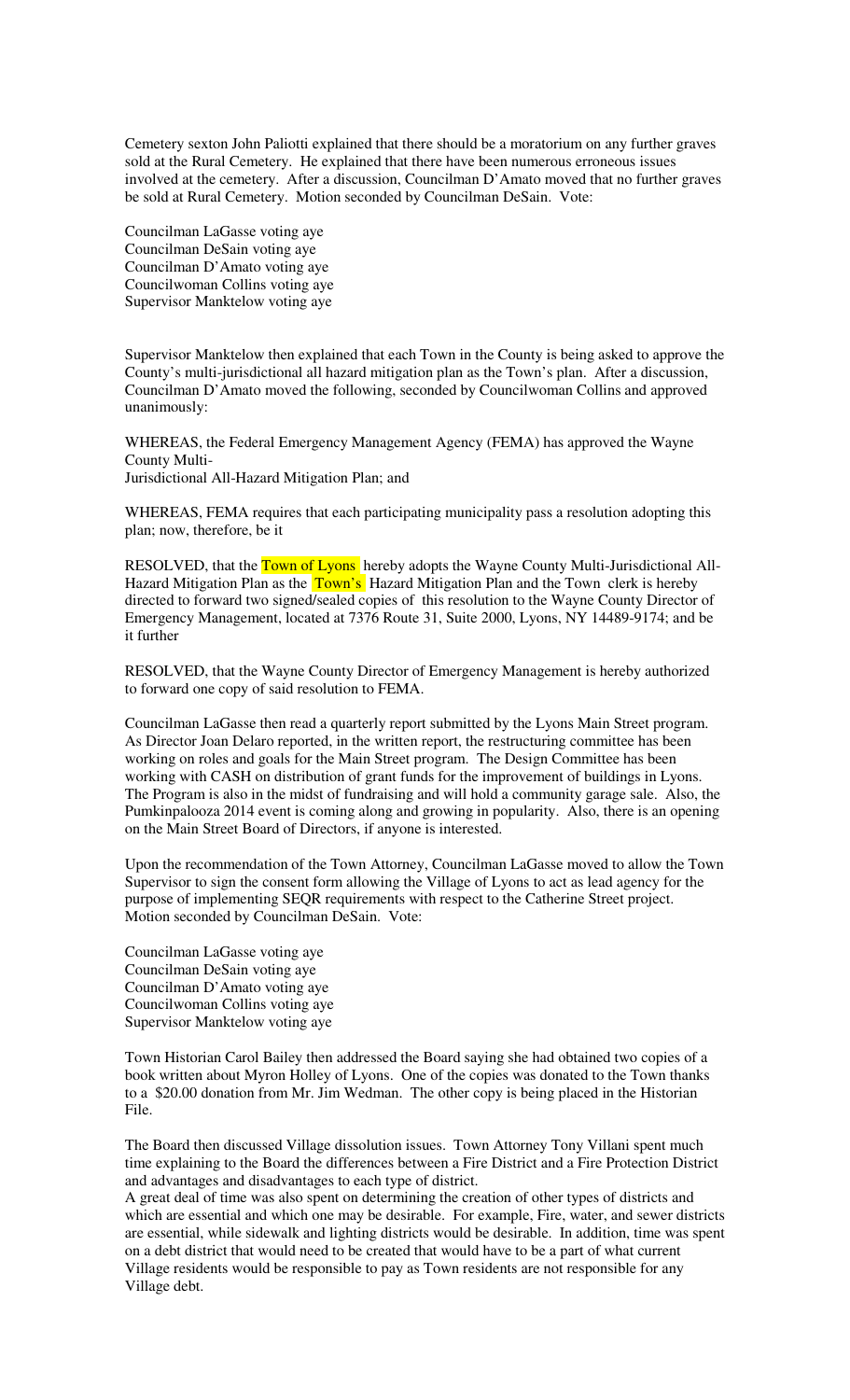Cemetery sexton John Paliotti explained that there should be a moratorium on any further graves sold at the Rural Cemetery. He explained that there have been numerous erroneous issues involved at the cemetery. After a discussion, Councilman D'Amato moved that no further graves be sold at Rural Cemetery. Motion seconded by Councilman DeSain. Vote:

Councilman LaGasse voting aye Councilman DeSain voting aye Councilman D'Amato voting aye Councilwoman Collins voting aye Supervisor Manktelow voting aye

Supervisor Manktelow then explained that each Town in the County is being asked to approve the County's multi-jurisdictional all hazard mitigation plan as the Town's plan. After a discussion, Councilman D'Amato moved the following, seconded by Councilwoman Collins and approved unanimously:

WHEREAS, the Federal Emergency Management Agency (FEMA) has approved the Wayne County Multi-

Jurisdictional All-Hazard Mitigation Plan; and

WHEREAS, FEMA requires that each participating municipality pass a resolution adopting this plan; now, therefore, be it

RESOLVED, that the **Town of Lyons** hereby adopts the Wayne County Multi-Jurisdictional All-Hazard Mitigation Plan as the Town's Hazard Mitigation Plan and the Town clerk is hereby directed to forward two signed/sealed copies of this resolution to the Wayne County Director of Emergency Management, located at 7376 Route 31, Suite 2000, Lyons, NY 14489-9174; and be it further

RESOLVED, that the Wayne County Director of Emergency Management is hereby authorized to forward one copy of said resolution to FEMA.

Councilman LaGasse then read a quarterly report submitted by the Lyons Main Street program. As Director Joan Delaro reported, in the written report, the restructuring committee has been working on roles and goals for the Main Street program. The Design Committee has been working with CASH on distribution of grant funds for the improvement of buildings in Lyons. The Program is also in the midst of fundraising and will hold a community garage sale. Also, the Pumkinpalooza 2014 event is coming along and growing in popularity. Also, there is an opening on the Main Street Board of Directors, if anyone is interested.

Upon the recommendation of the Town Attorney, Councilman LaGasse moved to allow the Town Supervisor to sign the consent form allowing the Village of Lyons to act as lead agency for the purpose of implementing SEQR requirements with respect to the Catherine Street project. Motion seconded by Councilman DeSain. Vote:

Councilman LaGasse voting aye Councilman DeSain voting aye Councilman D'Amato voting aye Councilwoman Collins voting aye Supervisor Manktelow voting aye

Town Historian Carol Bailey then addressed the Board saying she had obtained two copies of a book written about Myron Holley of Lyons. One of the copies was donated to the Town thanks to a \$20.00 donation from Mr. Jim Wedman. The other copy is being placed in the Historian File.

The Board then discussed Village dissolution issues. Town Attorney Tony Villani spent much time explaining to the Board the differences between a Fire District and a Fire Protection District and advantages and disadvantages to each type of district.

A great deal of time was also spent on determining the creation of other types of districts and which are essential and which one may be desirable. For example, Fire, water, and sewer districts are essential, while sidewalk and lighting districts would be desirable. In addition, time was spent on a debt district that would need to be created that would have to be a part of what current Village residents would be responsible to pay as Town residents are not responsible for any Village debt.